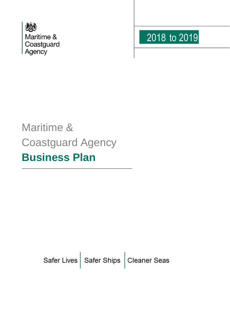

2018 to 2019

## Maritime & Coastguard Agency **Business Plan**

Safer Lives | Safer Ships | Cleaner Seas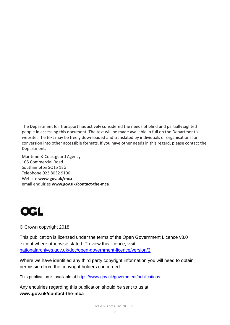The Department for Transport has actively considered the needs of blind and partially sighted people in accessing this document. The text will be made available in full on the Department's website. The text may be freely downloaded and translated by individuals or organisations for conversion into other accessible formats. If you have other needs in this regard, please contact the Department.

Maritime & Coastguard Agency 105 Commercial Road Southampton SO15 1EG Telephone 023 8032 9100 Website **www.gov.uk/mca** email enquiries **www.gov.uk/contact-the-mca**



### © Crown copyright 2018

This publication is licensed under the terms of the Open Government Licence v3.0 except where otherwise stated. To view this licence, visit [nationalarchives.gov.uk/doc/open-government-licence/version/3](http://nationalarchives.gov.uk/doc/open-government-licence/version/3/)

Where we have identified any third party copyright information you will need to obtain permission from the copyright holders concerned.

This publication is available at<https://www.gov.uk/government/publications>

Any enquiries regarding this publication should be sent to us at **www.gov.uk/contact-the-mca**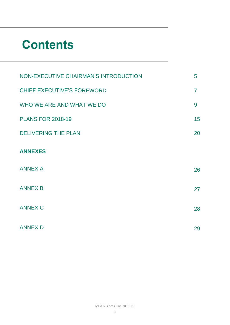# **Contents**

| NON-EXECUTIVE CHAIRMAN'S INTRODUCTION | 5              |
|---------------------------------------|----------------|
| <b>CHIEF EXECUTIVE'S FOREWORD</b>     | $\overline{7}$ |
| WHO WE ARE AND WHAT WE DO             | 9              |
| <b>PLANS FOR 2018-19</b>              | 15             |
| <b>DELIVERING THE PLAN</b>            | 20             |
| <b>ANNEXES</b>                        |                |
| <b>ANNEX A</b>                        | 26             |
| <b>ANNEX B</b>                        | 27             |
| <b>ANNEX C</b>                        | 28             |
| <b>ANNEX D</b>                        | 29             |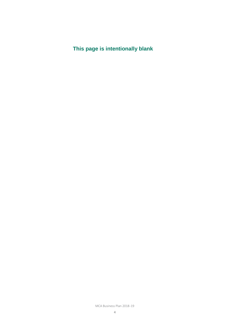**This page is intentionally blank**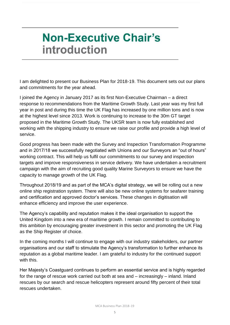## **Non-Executive Chair's** introduction

I am delighted to present our Business Plan for 2018-19. This document sets out our plans and commitments for the year ahead.

I joined the Agency in January 2017 as its first Non-Executive Chairman – a direct response to recommendations from the Maritime Growth Study. Last year was my first full year in post and during this time the UK Flag has increased by one million tons and is now at the highest level since 2013. Work is continuing to increase to the 30m GT target proposed in the Maritime Growth Study. The UKSR team is now fully established and working with the shipping industry to ensure we raise our profile and provide a high level of service.

Good progress has been made with the Survey and Inspection Transformation Programme and in 2017/18 we successfully negotiated with Unions and our Surveyors an "out of hours" working contract. This will help us fulfil our commitments to our survey and inspection targets and improve responsiveness in service delivery. We have undertaken a recruitment campaign with the aim of recruiting good quality Marine Surveyors to ensure we have the capacity to manage growth of the UK Flag.

Throughout 2018/19 and as part of the MCA's digital strategy, we will be rolling out a new online ship registration system. There will also be new online systems for seafarer training and certification and approved doctor's services. These changes in digitisation will enhance efficiency and improve the user experience.

The Agency's capability and reputation makes it the ideal organisation to support the United Kingdom into a new era of maritime growth. I remain committed to contributing to this ambition by encouraging greater investment in this sector and promoting the UK Flag as the Ship Register of choice.

In the coming months I will continue to engage with our industry stakeholders, our partner organisations and our staff to stimulate the Agency's transformation to further enhance its reputation as a global maritime leader. I am grateful to industry for the continued support with this.

Her Majesty's Coastguard continues to perform an essential service and is highly regarded for the range of rescue work carried out both at sea and – increasingly – inland. Inland rescues by our search and rescue helicopters represent around fifty percent of their total rescues undertaken.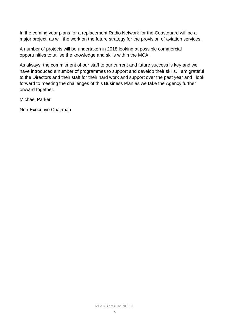In the coming year plans for a replacement Radio Network for the Coastguard will be a major project, as will the work on the future strategy for the provision of aviation services.

A number of projects will be undertaken in 2018 looking at possible commercial opportunities to utilise the knowledge and skills within the MCA.

As always, the commitment of our staff to our current and future success is key and we have introduced a number of programmes to support and develop their skills. I am grateful to the Directors and their staff for their hard work and support over the past year and I look forward to meeting the challenges of this Business Plan as we take the Agency further onward together.

Michael Parker

Non-Executive Chairman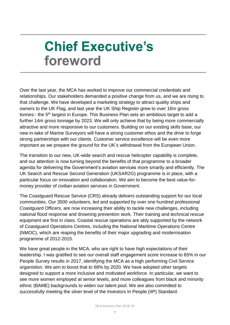# **Chief Executive's** foreword

Over the last year, the MCA has worked to improve our commercial credentials and relationships. Our stakeholders demanded a positive change from us, and we are rising to that challenge. We have developed a marketing strategy to attract quality ships and owners to the UK Flag, and last year the UK Ship Register grew to over 16m gross tonnes:- the 5<sup>th</sup> largest in Europe. This Business Plan sets an ambitious target to add a further 14m gross tonnage by 2023. We will only achieve that by being more commercially attractive and more responsive to our customers. Building on our existing skills base, our new in-take of Marine Surveyors will have a strong customer ethos and the drive to forge strong partnerships with our clients. Customer service excellence will be even more important as we prepare the ground for the UK's withdrawal from the European Union.

The transition to our new, UK-wide search and rescue helicopter capability is complete, and our attention is now turning beyond the benefits of that programme to a broader agenda for delivering the Government's aviation services more smartly and efficiently. The UK Search and Rescue Second Generation (UKSAR2G) programme is in place, with a particular focus on innovation and collaboration. We aim to become the best value-formoney provider of civilian aviation services in Government.

The Coastguard Rescue Service (CRS) already delivers outstanding support for our local communities. Our 3500 volunteers, led and supported by over one hundred professional Coastguard Officers, are now increasing their ability to tackle new challenges, including national flood response and drowning prevention work. Their training and technical rescue equipment are first in class. Coastal rescue operations are ably supported by the network of Coastguard Operations Centres, including the National Maritime Operations Centre (NMOC), which are reaping the benefits of their major upgrading and modernisation programme of 2012-2015.

We have great people in the MCA, who are right to have high expectations of their leadership. I was gratified to see our overall staff engagement score increase to 65% in our People Survey results in 2017, identifying the MCA as a high performing Civil Service organistion. We aim to boost that to 68% by 2020. We have adopted other targets designed to support a more inclusive and motivated workforce. In particular, we want to see more women employed at senior levels, and more colleagues from black and minority ethnic (BAME) backgrounds to widen our talent pool. We are also committed to successfully meeting the silver level of the Investors In People (IIP) Standard.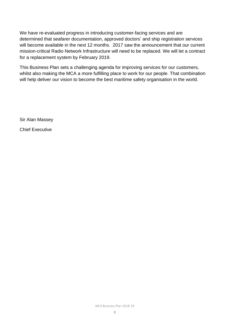We have re-evaluated progress in introducing customer-facing services and are determined that seafarer documentation, approved doctors' and ship registration services will become available in the next 12 months. 2017 saw the announcement that our current mission-critical Radio Network Infrastructure will need to be replaced. We will let a contract for a replacement system by February 2019.

This Business Plan sets a challenging agenda for improving services for our customers, whilst also making the MCA a more fulfilling place to work for our people. That combination will help deliver our vision to become the best maritime safety organisation in the world.

Sir Alan Massey

Chief Executive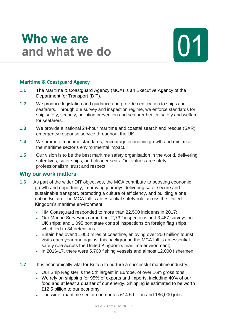## Who we are and what we do

# 01

### **Maritime & Coastguard Agency**

- **1.1** The Maritime & Coastguard Agency (MCA) is an Executive Agency of the Department for Transport (DfT).
- **1.2** We produce legislation and guidance and provide certification to ships and seafarers. Through our survey and inspection regime, we enforce standards for ship safety, security, pollution prevention and seafarer health, safety and welfare for seafarers.
- **1.3** We provide a national 24-hour maritime and coastal search and rescue (SAR) emergency response service throughout the UK.
- **1.4** We promote maritime standards, encourage economic growth and minimise the maritime sector's environmental impact.
- **1.5** Our vision is to be the best maritime safety organisation in the world, delivering safer lives, safer ships, and cleaner seas. Our values are safety, professionalism, trust and respect.

### **Why our work matters**

- **1.6** As part of the wider DfT objectives, the MCA contribute to boosting economic growth and opportunity, improving journeys delivering safe, secure and sustainable transport, promoting a culture of efficiency, and building a one nation Britain. The MCA fulfils an essential safety role across the United Kingdom's maritime environment.
	- HM Coastguard responded to more than 22,500 incidents in 2017;
	- Our Marine Surveyors carried out 2,732 inspections and 3,467 surveys on UK ships; and 1,095 port state control inspections on foreign flag ships which led to 34 detentions;
	- Britain has over 11,000 miles of coastline, enjoying over 200 million tourist visits each year and against this background the MCA fulfils an essential safety role across the United Kingdom's maritime environment;
	- In 2016-17, there were 5,700 fishing vessels and almost 12,000 fishermen.
- **1.7** It is economically vital for Britain to nurture a successful maritime industry.
	- Our Ship Register is the 5th largest in Europe, of over 16m gross tons;
	- We rely on shipping for 95% of exports and imports, including 40% of our food and at least a quarter of our energy. Shipping is estimated to be worth £12.5 billion to our economy;
	- The wider maritime sector contributes £14.5 billion and 186,000 jobs.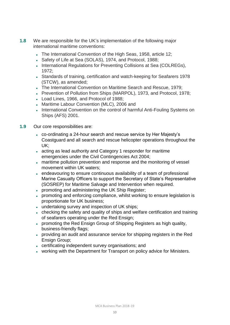- **1.8** We are responsible for the UK's implementation of the following major international maritime conventions:
	- The International Convention of the High Seas, 1958, article 12;
	- Safety of Life at Sea (SOLAS), 1974, and Protocol, 1988;
	- International Regulations for Preventing Collisions at Sea (COLREGs), 1972;
	- Standards of training, certification and watch-keeping for Seafarers 1978 (STCW), as amended;
	- The International Convention on Maritime Search and Rescue, 1979;
	- Prevention of Pollution from Ships (MARPOL), 1973, and Protocol, 1978;
	- Load Lines, 1966, and Protocol of 1988;
	- Maritime Labour Convention (MLC), 2006 and
	- International Convention on the control of harmful Anti-Fouling Systems on Ships (AFS) 2001.
- **1.9** Our core responsibilities are:
	- co-ordinating a 24-hour search and rescue service by Her Majesty's Coastguard and all search and rescue helicopter operations throughout the UK;
	- acting as lead authority and Category 1 responder for maritime emergencies under the Civil Contingencies Act 2004;
	- maritime pollution prevention and response and the monitoring of vessel movement within UK waters;
	- endeavouring to ensure continuous availability of a team of professional Marine Casualty Officers to support the Secretary of State's Representative (SOSREP) for Maritime Salvage and Intervention when required.
	- promoting and administering the UK Ship Register;
	- promoting and enforcing compliance, whilst working to ensure legislation is proportionate for UK business;
	- undertaking survey and inspection of UK ships;
	- checking the safety and quality of ships and welfare certification and training of seafarers operating under the Red Ensign;
	- promoting the Red Ensign Group of Shipping Registers as high quality, business-friendly flags;
	- providing an audit and assurance service for shipping registers in the Red Ensign Group;
	- certificating independent survey organisations; and
	- working with the Department for Transport on policy advice for Ministers.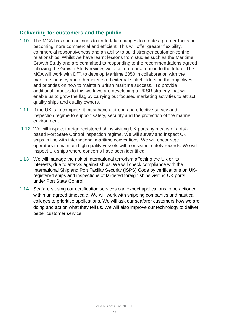### **Delivering for customers and the public**

- **1.10** The MCA has and continues to undertake changes to create a greater focus on becoming more commercial and efficient. This will offer greater flexibility, commercial responsiveness and an ability to build stronger customer-centric relationships. Whilst we have learnt lessons from studies such as the Maritime Growth Study and are committed to responding to the recommendations agreed following the Growth Study review, we also turn our attention to the future. The MCA will work with DfT, to develop Maritime 2050 in collaboration with the maritime industry and other interested external stakeholders on the objectives and priorities on how to maintain British maritime success. To provide additional impetus to this work we are developing a UKSR strategy that will enable us to grow the flag by carrying out focused marketing activities to attract quality ships and quality owners.
- **1.11** If the UK is to compete, it must have a strong and effective survey and inspection regime to support safety, security and the protection of the marine environment.
- **1.12** We will inspect foreign registered ships visiting UK ports by means of a riskbased Port State Control inspection regime. We will survey and inspect UK ships in line with international maritime conventions. We will encourage operators to maintain high quality vessels with consistent safety records. We will inspect UK ships where concerns have been identified.
- **1.13** We will manage the risk of international terrorism affecting the UK or its interests, due to attacks against ships. We will check compliance with the International Ship and Port Facility Security (ISPS) Code by verifications on UKregistered ships and inspections of targeted foreign ships visiting UK ports under Port State Control.
- **1.14** Seafarers using our certification services can expect applications to be actioned within an agreed timescale. We will work with shipping companies and nautical colleges to prioritise applications. We will ask our seafarer customers how we are doing and act on what they tell us. We will also improve our technology to deliver better customer service.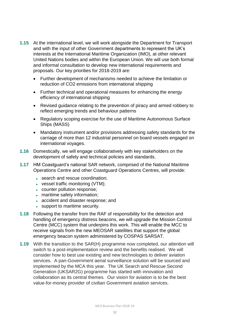- **1.15** At the international level, we will work alongside the Department for Transport and with the input of other Government departments to represent the UK's interests at the International Maritime Organization (IMO), at other relevant United Nations bodies and within the European Union. We will use both formal and informal consultation to develop new international requirements and proposals. Our key priorities for 2018-2019 are:
	- Further development of mechanisms needed to achieve the limitation or reduction of CO2 emissions from international shipping
	- Further technical and operational measures for enhancing the energy efficiency of international shipping
	- Revised guidance relating to the prevention of piracy and armed robbery to reflect emerging trends and behaviour patterns
	- Regulatory scoping exercise for the use of Maritime Autonomous Surface Ships (MASS)
	- Mandatory instrument and/or provisions addressing safety standards for the carriage of more than 12 industrial personnel on board vessels engaged on international voyages.
- **1.16** Domestically, we will engage collaboratively with key stakeholders on the development of safety and technical policies and standards.
- **1.17** HM Coastguard's national SAR network, comprised of the National Maritime Operations Centre and other Coastguard Operations Centres, will provide:
	- search and rescue coordination;
	- vessel traffic monitoring (VTM);
	- counter pollution response;
	- maritime safety information;
	- accident and disaster response; and
	- support to maritime security.
- **1.18** Following the transfer from the RAF of responsibility for the detection and handling of emergency distress beacons, we will upgrade the Mission Control Centre (MCC) system that underpins this work. This will enable the MCC to receive signals from the new MEOSAR satellites that support the global emergency beacon system administered by COSPAS SARSAT.
- **1.19** With the transition to the SAR(H) programme now completed, our attention will switch to a post-implementation review and the benefits realised. We will consider how to best use existing and new technologies to deliver aviation services. A pan-Government aerial surveillance solution will be sourced and implemented by the MCA this year. The UK Search and Rescue Second Generation (UKSAR2G) programme has started with innovation and collaboration as its central themes. Our vision for aviation is to be the best value-for-money provider of civilian Government aviation services.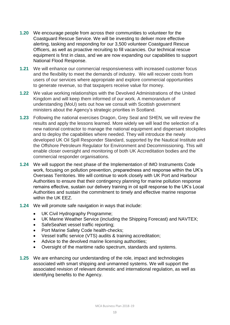- **1.20** We encourage people from across their communities to volunteer for the Coastguard Rescue Service. We will be investing to deliver more effective alerting, tasking and responding for our 3,500 volunteer Coastguard Rescue Officers, as well as proactive recruiting to fill vacancies. Our technical rescue equipment is first in class, and we are now expanding our capabilities to support National Flood Response.
- **1.21** We will enhance our commercial responsiveness with increased customer focus and the flexibility to meet the demands of industry. We will recover costs from users of our services where appropriate and explore commercial opportunities to generate revenue, so that taxpayers receive value for money.
- **1.22** We value working relationships with the Devolved Administrations of the United Kingdom and will keep them informed of our work. A memorandum of understanding (MoU) sets out how we consult with Scottish government ministers about the Agency's strategic priorities in Scotland.
- **1.23** Following the national exercises Dragon, Grey Seal and SHEN, we will review the results and apply the lessons learned. More widely we will lead the selection of a new national contractor to manage the national equipment and dispersant stockpiles and to deploy the capabilities where needed. They will introduce the newly developed UK Oil Spill Responder Standard, supported by the Nautical Institute and the Offshore Petroleum Regulator for Environment and Decommissioning. This will enable closer oversight and monitoring of both UK Accreditation bodies and the commercial responder organisations.
- **1.24** We will support the next phase of the Implementation of IMO Instruments Code work, focusing on pollution prevention, preparedness and response within the UK's Overseas Territories. We will continue to work closely with UK Port and Harbour Authorities to ensure that their contingency planning for marine pollution response remains effective, sustain our delivery training in oil spill response to the UK's Local Authorities and sustain the commitment to timely and effective marine response within the UK EEZ.
- **1.24** We will promote safe navigation in ways that include:
	- UK Civil Hydrography Programme;
	- UK Marine Weather Service (including the Shipping Forecast) and NAVTEX;
	- SafeSeaNet vessel traffic reporting;
	- Port Marine Safety Code health-checks;
	- Vessel traffic service (VTS) audits & training accreditation;
	- Advice to the devolved marine licensing authorities;
	- Oversight of the maritime radio spectrum, standards and systems.
- **1.25** We are enhancing our understanding of the role, impact and technologies associated with smart shipping and unmanned systems. We will support the associated revision of relevant domestic and international regulation, as well as identifying benefits to the Agency.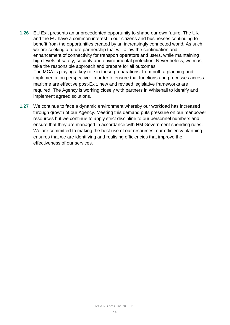- **1.26** EU Exit presents an unprecedented opportunity to shape our own future. The UK and the EU have a common interest in our citizens and businesses continuing to benefit from the opportunities created by an increasingly connected world. As such, we are seeking a future partnership that will allow the continuation and enhancement of connectivity for transport operators and users, while maintaining high levels of safety, security and environmental protection. Nevertheless, we must take the responsible approach and prepare for all outcomes. The MCA is playing a key role in these preparations, from both a planning and implementation perspective. In order to ensure that functions and processes across maritime are effective post-Exit, new and revised legislative frameworks are required. The Agency is working closely with partners in Whitehall to identify and implement agreed solutions.
- **1.27** We continue to face a dynamic environment whereby our workload has increased through growth of our Agency. Meeting this demand puts pressure on our manpower resources but we continue to apply strict discipline to our personnel numbers and ensure that they are managed in accordance with HM Government spending rules. We are committed to making the best use of our resources; our efficiency planning ensures that we are identifying and realising efficiencies that improve the effectiveness of our services.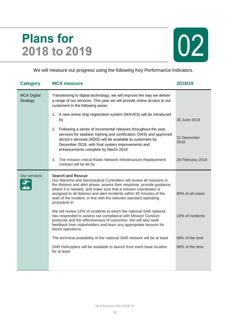## **Plans for** 2018 to 2019

# $|02|$

We will measure our progress using the following Key Performance Indicators.

| <b>Category</b>                | <b>MCA measure</b>                                                                                                                                                                                                                                                                                                                                                                                            | 2018/19             |
|--------------------------------|---------------------------------------------------------------------------------------------------------------------------------------------------------------------------------------------------------------------------------------------------------------------------------------------------------------------------------------------------------------------------------------------------------------|---------------------|
| <b>MCA Digital</b><br>Strategy | Transitioning to digital technology, we will improve the way we deliver<br>a range of our services. This year we will provide online access to our<br>customers in the following areas:                                                                                                                                                                                                                       |                     |
|                                | 1. A new online ship registration system (WAVES) will be introduced<br>by                                                                                                                                                                                                                                                                                                                                     | 30 June 2018        |
|                                | Following a series of incremental releases throughout the year,<br>2.<br>services for seafarer training and certification (SRS) and approved<br>doctor's services (ADIS) will be available to customers by<br>December 2018, with final system improvements and<br>enhancements complete by March 2019                                                                                                        | 31 December<br>2018 |
|                                | 3.<br>The mission-critical Radio Network Infrastructure Replacement<br>contract will be let by                                                                                                                                                                                                                                                                                                                | 28 February 2019    |
| <b>Our services</b>            | <b>Search and Rescue</b><br>Our Maritime and Aeronautical Controllers will review all missions in<br>the distress and alert phase, assess their response, provide guidance<br>where it is needed, and make sure that a mission coordinator is<br>assigned to all distress and alert incidents within 30 minutes of the<br>start of the incident, in line with the relevant standard operating<br>procedure in | 90% of all cases    |
|                                | We will review 10% of incidents to which the national SAR network<br>has responded to assess out compliance with Mission Conduct<br>protocols and the effectiveness of outcomes. We will also seek<br>feedback from stakeholders and learn any appropriate lessons for<br>future operations                                                                                                                   | 10% of incidents    |
|                                | The technical availability of the national SAR network will be at least                                                                                                                                                                                                                                                                                                                                       | 98% of the time     |
|                                | SAR Helicopters will be available to launch from each base location<br>for at least                                                                                                                                                                                                                                                                                                                           | 98% of the time     |
|                                |                                                                                                                                                                                                                                                                                                                                                                                                               |                     |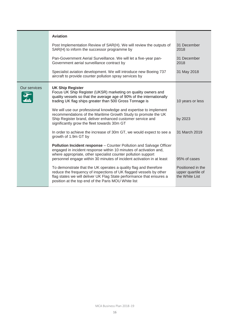|                     | <b>Aviation</b>                                                                                                                                                                                                                                                                                   |                                                          |
|---------------------|---------------------------------------------------------------------------------------------------------------------------------------------------------------------------------------------------------------------------------------------------------------------------------------------------|----------------------------------------------------------|
|                     | Post Implementation Review of SAR(H). We will review the outputs of<br>SAR(H) to inform the successor programme by                                                                                                                                                                                | 31 December<br>2018                                      |
|                     | Pan-Government Aerial Surveillance. We will let a five-year pan-<br>Government aerial surveillance contract by                                                                                                                                                                                    | 31 December<br>2018                                      |
|                     | Specialist aviation development. We will introduce new Boeing 737<br>aircraft to provide counter pollution spray services by                                                                                                                                                                      | 31 May 2018                                              |
| <b>Our services</b> | <b>UK Ship Register</b><br>Focus UK Ship Register (UKSR) marketing on quality owners and<br>quality vessels so that the average age of 90% of the internationally<br>trading UK flag ships greater than 500 Gross Tonnage is<br>We will use our professional knowledge and expertise to implement | 10 years or less                                         |
|                     | recommendations of the Maritime Growth Study to promote the UK<br>Ship Register brand, deliver enhanced customer service and<br>significantly grow the fleet towards 30m GT                                                                                                                       | by 2023                                                  |
|                     | In order to achieve the increase of 30m GT, we would expect to see a<br>growth of 1.9m GT by                                                                                                                                                                                                      | 31 March 2019                                            |
|                     | <b>Pollution Incident response</b> – Counter Pollution and Salvage Officer<br>engaged in incident response within 10 minutes of activation and,<br>where appropriate, other specialist counter pollution support<br>personnel engage within 30 minutes of incident activation in at least         | 95% of cases                                             |
|                     | To demonstrate that the UK operates a quality flag and therefore<br>reduce the frequency of inspections of UK flagged vessels by other<br>flag states we will deliver UK Flag State performance that ensures a<br>position at the top end of the Paris MOU White list                             | Positioned in the<br>upper quartile of<br>the White List |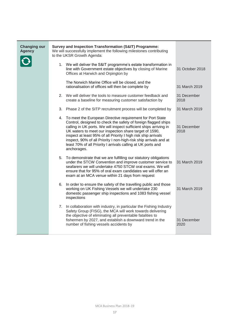| <b>Changing our</b><br><b>Agency</b> | <b>Survey and Inspection Transformation (S&amp;IT) Programme:</b><br>We will successfully implement the following milestones contributing<br>to the UKSR Growth Agenda:                                                                                                                                                                                                                                                                                                                |                     |
|--------------------------------------|----------------------------------------------------------------------------------------------------------------------------------------------------------------------------------------------------------------------------------------------------------------------------------------------------------------------------------------------------------------------------------------------------------------------------------------------------------------------------------------|---------------------|
|                                      | 1. We will deliver the S&IT programme's estate transformation in<br>line with Government estate objectives by closing of Marine<br>Offices at Harwich and Orpington by                                                                                                                                                                                                                                                                                                                 | 31 October 2018     |
|                                      | The Norwich Marine Office will be closed, and the<br>rationalisation of offices will then be complete by                                                                                                                                                                                                                                                                                                                                                                               | 31 March 2019       |
|                                      | 2. We will deliver the tools to measure customer feedback and<br>create a baseline for measuring customer satisfaction by                                                                                                                                                                                                                                                                                                                                                              | 31 December<br>2018 |
|                                      | 3. Phase 2 of the SITP recruitment process will be completed by                                                                                                                                                                                                                                                                                                                                                                                                                        | 31 March 2019       |
|                                      | To meet the European Directive requirement for Port State<br>4.<br>Control, designed to check the safety of foreign flagged ships<br>calling in UK ports. We will inspect sufficient ships arriving in<br>UK waters to meet our inspection share target of 1590,<br>inspect at least 95% of all Priority I high risk ship arrivals<br>inspect, 90% of all Priority I non-high-risk ship arrivals and at<br>least 70% of all Priority I arrivals calling at UK ports and<br>anchorages. | 31 December<br>2018 |
|                                      | 5. To demonstrate that we are fulfilling our statutory obligations<br>under the STCW Convention and improve customer service to<br>seafarers we will undertake 4750 STCW oral exams. We will<br>ensure that for 95% of oral exam candidates we will offer an<br>exam at an MCA venue within 21 days from request                                                                                                                                                                       | 31 March 2019       |
|                                      | 6.<br>In order to ensure the safety of the travelling public and those<br>working on UK Fishing Vessels we will undertake 230<br>domestic passenger ship inspections and 1083 fishing vessel<br>inspections                                                                                                                                                                                                                                                                            | 31 March 2019       |
|                                      | 7. In collaboration with industry, in particular the Fishing Industry<br>Safety Group (FISG), the MCA will work towards delivering<br>the objective of eliminating all preventable fatalities to<br>fishermen by 2027, and establish a downward trend in the<br>number of fishing vessels accidents by                                                                                                                                                                                 | 31 December<br>2020 |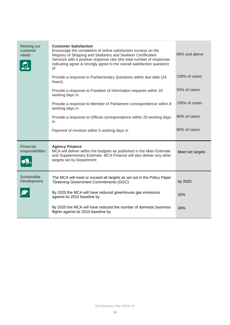| Meeting our<br>customer<br>needs | <b>Customer Satisfaction</b><br>Encourage the completion of online satisfaction surveys on the<br>Registry of Shipping and Seafarers and Seafarer Certification<br>Services with a positive response rate (the total number of responses<br>indicating agree & strongly agree to the overall satisfaction question)<br>of | 85% and above    |
|----------------------------------|---------------------------------------------------------------------------------------------------------------------------------------------------------------------------------------------------------------------------------------------------------------------------------------------------------------------------|------------------|
|                                  | Provide a response to Parliamentary Questions within due date (24<br>hours)                                                                                                                                                                                                                                               | 100% of cases    |
|                                  | Provide a response to Freedom of Information requests within 20<br>working days in                                                                                                                                                                                                                                        | 93% of cases     |
|                                  | Provide a response to Member of Parliament correspondence within 8<br>working days in                                                                                                                                                                                                                                     | 100% of cases    |
|                                  | Provide a response to Official correspondence within 20 working days<br>in                                                                                                                                                                                                                                                | 80% of cases     |
|                                  | Payment of invoices within 5 working days in                                                                                                                                                                                                                                                                              | 80% of cases     |
| Financial<br>responsibilities    | <b>Agency Finance</b><br>MCA will deliver within the budgets as published in the Main Estimate<br>and Supplementary Estimate. MCA Finance will also deliver any other<br>targets set by Department                                                                                                                        | Meet set targets |
| Sustainable<br>Development       | The MCA will meet or exceed all targets as set out in the Policy Paper<br>"Greening Government Commitments (GGC)                                                                                                                                                                                                          | by 2020          |
|                                  | By 2020 the MCA will have reduced greenhouse gas emissions<br>against its 2010 baseline by                                                                                                                                                                                                                                | 32%              |
|                                  | By 2020 the MCA will have reduced the number of domestic business<br>flights against its 2010 baseline by                                                                                                                                                                                                                 | 30%              |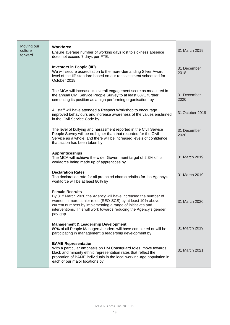| Moving our<br>culture<br>forward | <b>Workforce</b><br>Ensure average number of working days lost to sickness absence<br>does not exceed 7 days per FTE.                                                                                                                                                                                               | 31 March 2019       |
|----------------------------------|---------------------------------------------------------------------------------------------------------------------------------------------------------------------------------------------------------------------------------------------------------------------------------------------------------------------|---------------------|
|                                  | <b>Investors in People (IIP)</b><br>We will secure accreditation to the more-demanding Silver Award<br>level of the liP standard based on our reassessment scheduled for<br>October 2018                                                                                                                            | 31 December<br>2018 |
|                                  | The MCA will increase its overall engagement score as measured in<br>the annual Civil Service People Survey to at least 68%, further<br>cementing its position as a high performing organisation, by                                                                                                                | 31 December<br>2020 |
|                                  | All staff will have attended a Respect Workshop to encourage<br>improved behaviours and increase awareness of the values enshrined<br>in the Civil Service Code by                                                                                                                                                  | 31 October 2019     |
|                                  | The level of bullying and harassment reported in the Civil Service<br>People Survey will be no higher than that recorded for the Civil<br>Service as a whole, and there will be increased levels of confidence<br>that action has been taken by                                                                     | 31 December<br>2020 |
|                                  | <b>Apprenticeships</b><br>The MCA will achieve the wider Government target of 2.3% of its<br>workforce being made up of apprentices by                                                                                                                                                                              | 31 March 2019       |
|                                  | <b>Declaration Rates</b><br>The declaration rate for all protected characteristics for the Agency's<br>workforce will be at least 80% by                                                                                                                                                                            | 31 March 2019       |
|                                  | <b>Female Recruits</b><br>By 31 <sup>st</sup> March 2020 the Agency will have increased the number of<br>women in more senior roles (SEO-SCS) by at least 10% above<br>current numbers by implementing a range of initiatives and<br>interventions. This will work towards reducing the Agency's gender<br>pay-gap. | 31 March 2020       |
|                                  | <b>Management &amp; Leadership Development</b><br>80% of all People Managers/Leaders will have completed or will be<br>participating in management & leadership development by                                                                                                                                      | 31 March 2019       |
|                                  | <b>BAME Representation</b><br>With a particular emphasis on HM Coastguard roles, move towards<br>black and minority ethnic representation rates that reflect the<br>proportion of BAME individuals in the local working-age population in<br>each of our major locations by                                         | 31 March 2021       |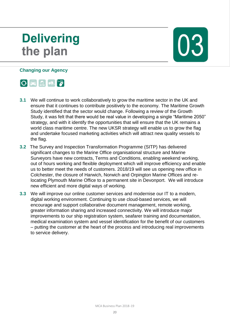## **Delivering** the plan



### **Changing our Agency**



- **3.1** We will continue to work collaboratively to grow the maritime sector in the UK and ensure that it continues to contribute positively to the economy. The Maritime Growth Study identified that the sector would change. Following a review of the Growth Study, it was felt that there would be real value in developing a single "Maritime 2050" strategy, and with it identify the opportunities that will ensure that the UK remains a world class maritime centre. The new UKSR strategy will enable us to grow the flag and undertake focused marketing activities which will attract new quality vessels to the flag.
- **3.2** The Survey and Inspection Transformation Programme (SITP) has delivered significant changes to the Marine Office organisational structure and Marine Surveyors have new contracts, Terms and Conditions, enabling weekend working, out of hours working and flexible deployment which will improve efficiency and enable us to better meet the needs of customers. 2018/19 will see us opening new office in Colchester, the closure of Harwich, Norwich and Orpington Marine Offices and relocating Plymouth Marine Office to a permanent site in Devonport. We will introduce new efficient and more digital ways of working.
- **3.3** We will improve our online customer services and modernise our IT to a modern, digital working environment. Continuing to use cloud-based services, we will encourage and support collaborative document management, remote working, greater information sharing and increased connectivity. We will introduce major improvements to our ship registration system, seafarer training and documentation, medical examination system and vessel identification for the benefit of our customers – putting the customer at the heart of the process and introducing real improvements to service delivery.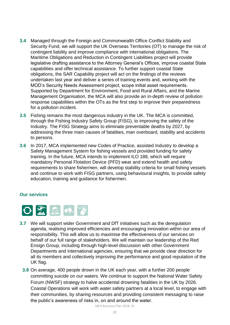- **3.4** Managed through the Foreign and Commonwealth Office Conflict Stability and Security Fund, we will support the UK Overseas Territories (OT) to manage the risk of contingent liability and improve compliance with international obligations. The Maritime Obligations and Reduction in Contingent Liabilities project will provide legislative drafting assistance to the Attorney General's Offices, improve coastal State capabilities and offer technical assistance. To further support coastal State obligations, the SAR Capability project will act on the findings of the reviews undertaken last year and deliver a series of training events and, working with the MOD's Security Needs Assessment project, scope initial asset requirements. Supported by Department for Environment, Food and Rural Affairs, and the Marine Management Organisation, the MCA will also provide an in-depth review of pollution response capabilities within the OTs as the first step to improve their preparedness for a pollution incident.
- **3.5** Fishing remains the most dangerous industry in the UK. The MCA is committed, through the Fishing Industry Safety Group (FISG), to improving the safety of the Industry. The FISG Strategy aims to eliminate preventable deaths by 2027, by addressing the three main causes of fatalities, man overboard, stability and accidents to persons.
- **3.6** In 2017, MCA implemented new Codes of Practice, assisted Industry to develop a Safety Management System for fishing vessels and provided funding for safety training. In the future, MCA intends to implement ILO 188, which will require mandatory Personal Flotation Device (PFD) wear and extend health and safety requirements to share fishermen, will develop stability criteria for small fishing vessels and continue to work with FISG partners, using behavioural insights, to provide safety education, training and guidance for fishermen.

#### **Our services**



- **3.7** We will support wider Government and DfT initiatives such as the deregulation agenda, realising improved efficiencies and encouraging innovation within our area of responsibility. This will allow us to maximise the effectiveness of our services on behalf of our full range of stakeholders. We will maintain our leadership of the Red Ensign Group, including through high-level discussion with other Government Departments and international agencies, ensuring that we provide clear direction for all its members and collectively improving the performance and good reputation of the UK flag.
- **3.8** On average, 400 people drown in the UK each year, with a further 200 people committing suicide on our waters. We continue to support the National Water Safety Forum (NWSF) strategy to halve accidental drowning fatalities in the UK by 2026. Coastal Operations will work with water safety partners at a local level, to engage with their communities, by sharing resources and providing consistent messaging to raise the public's awareness of risks in, on and around the water.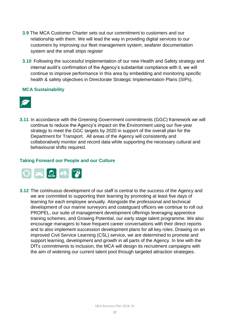- **3.9** The MCA Customer Charter sets out our commitment to customers and our relationship with them. We will lead the way in providing digital services to our customers by improving our fleet management system, seafarer documentation system and the small ships register
- **3.10** Following the successful implementation of our new Health and Safety strategy and internal audit's confirmation of the Agency's substantial compliance with it, we will continue to improve performance in this area by embedding and monitoring specific health & safety objectives in Directorate Strategic Implementation Plans (SIPs).

#### **MCA Sustainability**



**3.11** In accordance with the Greening Government commitments (GGC) framework we will continue to reduce the Agency's impact on the Environment using our five-year strategy to meet the GGC targets by 2020 in support of the overall plan for the Department for Transport. All areas of the Agency will consistently and collaboratively monitor and record data while supporting the necessary cultural and behavioural shifts required.

### **Taking Forward our People and our Culture**



**3.12** The continuous development of our staff is central to the success of the Agency and we are committed to supporting their learning by promoting at least five days of learning for each employee annually. Alongside the professional and technical development of our marine surveyors and coastguard officers we continue to roll out PROPEL, our suite of management development offerings leveraging apprentice training schemes, and Growing Potential, our early stage talent programme. We also encourage managers to have frequent career conversations with their direct reports and to also implement succession development plans for all key roles. Drawing on an improved Civil Service Learning (CSL) service, we are determined to promote and support learning, development and growth in all parts of the Agency. In line with the DfTs commitments to inclusion, the MCA will design its recruitment campaigns with the aim of widening our current talent pool through targeted attraction strategies.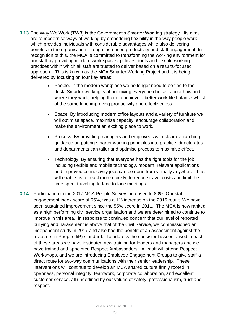- **3.13** The Way We Work (TW3) is the Government's Smarter Working strategy. Its aims are to modernise ways of working by embedding flexibility in the way people work which provides individuals with considerable advantages while also delivering benefits to the organisation through increased productivity and staff engagement. In recognition of this, the MCA is committed to transforming the working environment for our staff by providing modern work spaces, policies, tools and flexible working practices within which all staff are trusted to deliver based on a results-focused approach. This is known as the MCA Smarter Working Project and it is being delivered by focusing on four key areas:
	- People. In the modern workplace we no longer need to be tied to the desk. Smarter working is about giving everyone choices about how and where they work, helping them to achieve a better work life balance whilst at the same time improving productivity and effectiveness.
	- Space. By introducing modern office layouts and a variety of furniture we will optimise space, maximise capacity, encourage collaboration and make the environment an exciting place to work.
	- Process. By providing managers and employees with clear overarching guidance on putting smarter working principles into practice, directorates and departments can tailor and optimise process to maximise effect.
	- Technology. By ensuring that everyone has the right tools for the job including flexible and mobile technology, modern, relevant applications and improved connectivity jobs can be done from virtually anywhere. This will enable us to react more quickly, to reduce travel costs and limit the time spent travelling to face to face meetings.
- **3.14** Participation in the 2017 MCA People Survey increased to 80%. Our staff engagement index score of 65%, was a 1% increase on the 2016 result. We have seen sustained improvement since the 55% score in 2011. The MCA is now ranked as a high performing civil service organisation and we are determined to continue to improve in this area. In response to continued concern that our level of reported bullying and harassment is above that of the Civil Service, we commissioned an independent study in 2017 and also had the benefit of an assessment against the Investors in People (IiP) standard. To address the consistent issues raised in each of these areas we have instigated new training for leaders and managers and we have trained and appointed Respect Ambassadors. All staff will attend Respect Workshops, and we are introducing Employee Engagement Groups to give staff a direct route for two-way communications with their senior leadership. These interventions will continue to develop an MCA shared culture firmly rooted in openness, personal integrity, teamwork, corporate collaboration, and excellent customer service, all underlined by our values of safety, professionalism, trust and respect.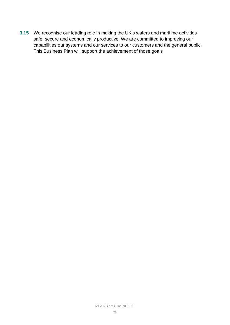**3.15** We recognise our leading role in making the UK's waters and maritime activities safe, secure and economically productive. We are committed to improving our capabilities our systems and our services to our customers and the general public. This Business Plan will support the achievement of those goals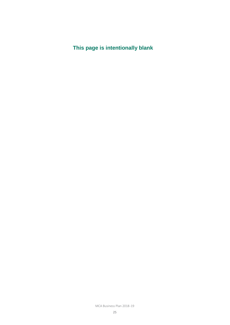**This page is intentionally blank**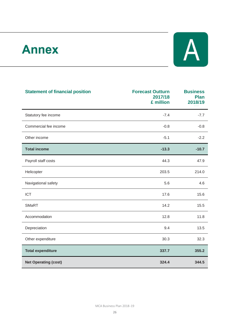

| <b>Statement of financial position</b> | <b>Forecast Outturn</b><br>2017/18<br>£ million | <b>Business</b><br><b>Plan</b><br>2018/19 |
|----------------------------------------|-------------------------------------------------|-------------------------------------------|
| Statutory fee income                   | $-7.4$                                          | $-7.7$                                    |
| Commercial fee income                  | $-0.8$                                          | $-0.8$                                    |
| Other income                           | $-5.1$                                          | $-2.2$                                    |
| <b>Total income</b>                    | $-13.3$                                         | $-10.7$                                   |
| Payroll staff costs                    | 44.3                                            | 47.9                                      |
| Helicopter                             | 203.5                                           | 214.0                                     |
| Navigational safety                    | 5.6                                             | 4.6                                       |
| <b>ICT</b>                             | 17.6                                            | 15.6                                      |
| <b>SMaRT</b>                           | 14.2                                            | 15.5                                      |
| Accommodation                          | 12.8                                            | 11.8                                      |
| Depreciation                           | 9.4                                             | 13.5                                      |
| Other expenditure                      | 30.3                                            | 32.3                                      |
| <b>Total expenditure</b>               | 337.7                                           | 355.2                                     |
| <b>Net Operating (cost)</b>            | 324.4                                           | 344.5                                     |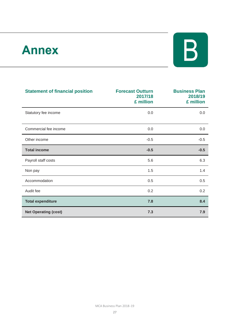

| <b>Statement of financial position</b> | <b>Forecast Outturn</b><br>2017/18<br>£ million | <b>Business Plan</b><br>2018/19<br>£ million |
|----------------------------------------|-------------------------------------------------|----------------------------------------------|
| Statutory fee income                   | 0.0                                             | 0.0                                          |
| Commercial fee income                  | 0.0                                             | 0.0                                          |
| Other income                           | $-0.5$                                          | $-0.5$                                       |
| <b>Total income</b>                    | $-0.5$                                          | $-0.5$                                       |
| Payroll staff costs                    | 5.6                                             | 6.3                                          |
| Non pay                                | 1.5                                             | 1.4                                          |
| Accommodation                          | 0.5                                             | 0.5                                          |
| Audit fee                              | 0.2                                             | 0.2                                          |
| <b>Total expenditure</b>               | 7.8                                             | 8.4                                          |
| <b>Net Operating (cost)</b>            | 7.3                                             | 7.9                                          |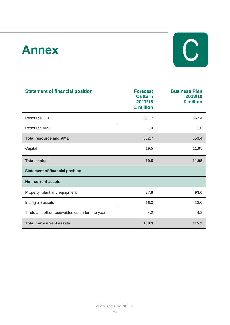

| <b>Statement of financial position</b>         | <b>Forecast</b><br><b>Outturn</b><br>2017/18<br>£ million | <b>Business Plan</b><br>2018/19<br>£ million |
|------------------------------------------------|-----------------------------------------------------------|----------------------------------------------|
| <b>Resource DEL</b>                            | 331.7                                                     | 352.4                                        |
| Resource AME                                   | 1.0                                                       | 1.0                                          |
| <b>Total resource and AME</b>                  | 332.7                                                     | 353.4                                        |
| Capital                                        | 19.5                                                      | 11.95                                        |
| <b>Total capital</b>                           | 19.5                                                      | 11.95                                        |
| <b>Statement of financial position</b>         |                                                           |                                              |
| <b>Non-current assets</b>                      |                                                           |                                              |
| Property, plant and equipment                  | 87.8                                                      | 93.0                                         |
| Intangible assets                              | 16.3                                                      | 18.0                                         |
| Trade and other receivables due after one year | 4.2                                                       | 4.2                                          |
| <b>Total non-current assets</b>                | 108.3                                                     | 115.2                                        |